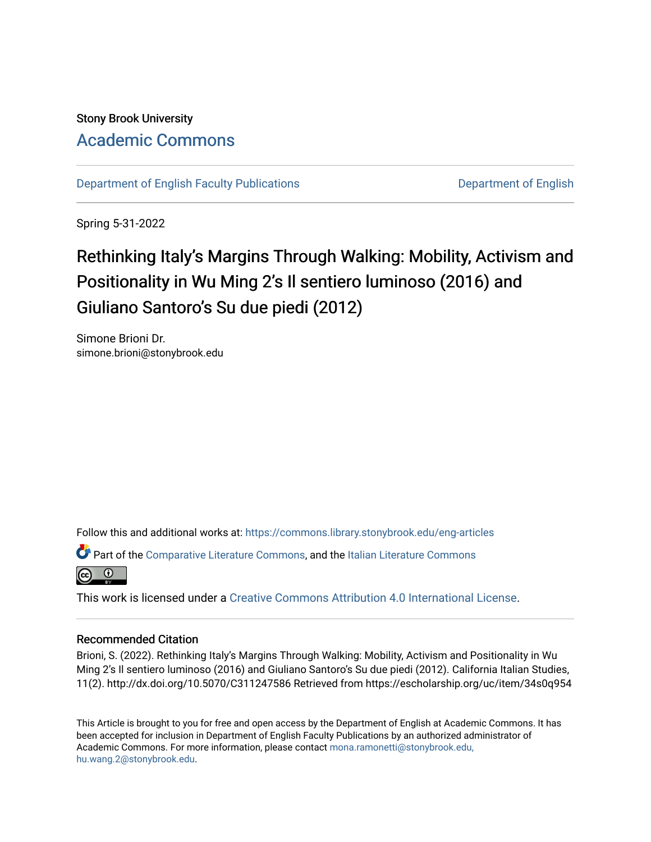Stony Brook University [Academic Commons](https://commons.library.stonybrook.edu/) 

[Department of English Faculty Publications](https://commons.library.stonybrook.edu/eng-articles) [Department of English](https://commons.library.stonybrook.edu/eng) 

Spring 5-31-2022

# Rethinking Italy's Margins Through Walking: Mobility, Activism and Positionality in Wu Ming 2's Il sentiero luminoso (2016) and Giuliano Santoro's Su due piedi (2012)

Simone Brioni Dr. simone.brioni@stonybrook.edu

Follow this and additional works at: [https://commons.library.stonybrook.edu/eng-articles](https://commons.library.stonybrook.edu/eng-articles?utm_source=commons.library.stonybrook.edu%2Feng-articles%2F21&utm_medium=PDF&utm_campaign=PDFCoverPages)

Part of the [Comparative Literature Commons](https://network.bepress.com/hgg/discipline/454?utm_source=commons.library.stonybrook.edu%2Feng-articles%2F21&utm_medium=PDF&utm_campaign=PDFCoverPages), and the [Italian Literature Commons](https://network.bepress.com/hgg/discipline/473?utm_source=commons.library.stonybrook.edu%2Feng-articles%2F21&utm_medium=PDF&utm_campaign=PDFCoverPages) 



This work is licensed under a [Creative Commons Attribution 4.0 International License](https://creativecommons.org/licenses/by/4.0/).

#### Recommended Citation

Brioni, S. (2022). Rethinking Italy's Margins Through Walking: Mobility, Activism and Positionality in Wu Ming 2's Il sentiero luminoso (2016) and Giuliano Santoro's Su due piedi (2012). California Italian Studies, 11(2). http://dx.doi.org/10.5070/C311247586 Retrieved from https://escholarship.org/uc/item/34s0q954

This Article is brought to you for free and open access by the Department of English at Academic Commons. It has been accepted for inclusion in Department of English Faculty Publications by an authorized administrator of Academic Commons. For more information, please contact [mona.ramonetti@stonybrook.edu,](mailto:mona.ramonetti@stonybrook.edu,%20hu.wang.2@stonybrook.edu)  [hu.wang.2@stonybrook.edu](mailto:mona.ramonetti@stonybrook.edu,%20hu.wang.2@stonybrook.edu).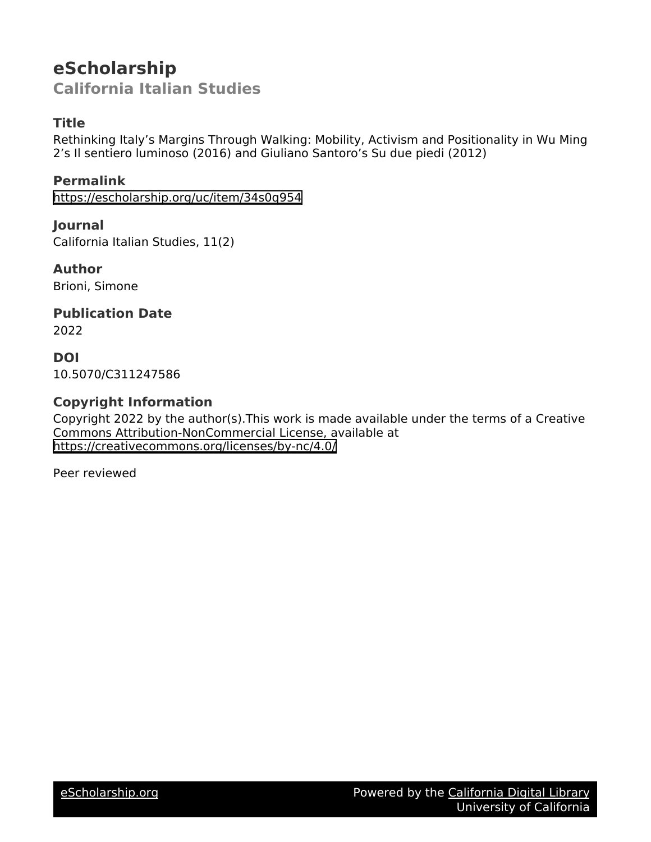## **eScholarship California Italian Studies**

## **Title**

Rethinking Italy's Margins Through Walking: Mobility, Activism and Positionality in Wu Ming 2's Il sentiero luminoso (2016) and Giuliano Santoro's Su due piedi (2012)

**Permalink** <https://escholarship.org/uc/item/34s0q954>

**Journal** California Italian Studies, 11(2)

**Author** Brioni, Simone

**Publication Date**

2022

**DOI** 10.5070/C311247586

## **Copyright Information**

Copyright 2022 by the author(s).This work is made available under the terms of a Creative Commons Attribution-NonCommercial License, available at <https://creativecommons.org/licenses/by-nc/4.0/>

Peer reviewed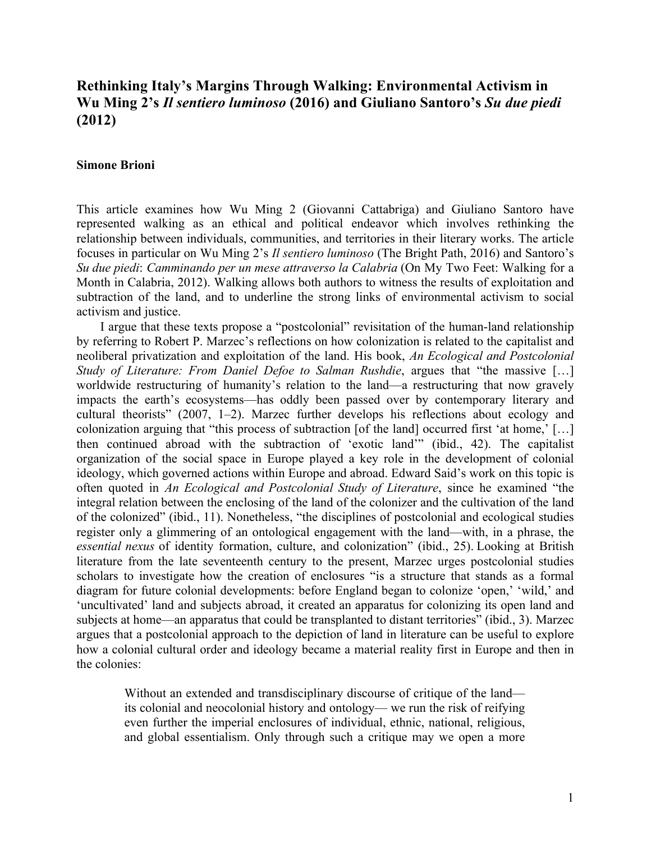## **Rethinking Italy's Margins Through Walking: Environmental Activism in Wu Ming 2's** *Il sentiero luminoso* **(2016) and Giuliano Santoro's** *Su due piedi* **(2012)**

#### **Simone Brioni**

This article examines how Wu Ming 2 (Giovanni Cattabriga) and Giuliano Santoro have represented walking as an ethical and political endeavor which involves rethinking the relationship between individuals, communities, and territories in their literary works. The article focuses in particular on Wu Ming 2's *Il sentiero luminoso* (The Bright Path, 2016) and Santoro's *Su due piedi*: *Camminando per un mese attraverso la Calabria* (On My Two Feet: Walking for a Month in Calabria, 2012). Walking allows both authors to witness the results of exploitation and subtraction of the land, and to underline the strong links of environmental activism to social activism and justice.

I argue that these texts propose a "postcolonial" revisitation of the human-land relationship by referring to Robert P. Marzec's reflections on how colonization is related to the capitalist and neoliberal privatization and exploitation of the land. His book, *An Ecological and Postcolonial Study of Literature: From Daniel Defoe to Salman Rushdie*, argues that "the massive […] worldwide restructuring of humanity's relation to the land—a restructuring that now gravely impacts the earth's ecosystems—has oddly been passed over by contemporary literary and cultural theorists" (2007, 1–2). Marzec further develops his reflections about ecology and colonization arguing that "this process of subtraction [of the land] occurred first 'at home,' […] then continued abroad with the subtraction of 'exotic land'" (ibid., 42). The capitalist organization of the social space in Europe played a key role in the development of colonial ideology, which governed actions within Europe and abroad. Edward Said's work on this topic is often quoted in *An Ecological and Postcolonial Study of Literature*, since he examined "the integral relation between the enclosing of the land of the colonizer and the cultivation of the land of the colonized" (ibid., 11). Nonetheless, "the disciplines of postcolonial and ecological studies register only a glimmering of an ontological engagement with the land—with, in a phrase, the *essential nexus* of identity formation, culture, and colonization" (ibid., 25). Looking at British literature from the late seventeenth century to the present, Marzec urges postcolonial studies scholars to investigate how the creation of enclosures "is a structure that stands as a formal diagram for future colonial developments: before England began to colonize 'open,' 'wild,' and 'uncultivated' land and subjects abroad, it created an apparatus for colonizing its open land and subjects at home—an apparatus that could be transplanted to distant territories" (ibid., 3). Marzec argues that a postcolonial approach to the depiction of land in literature can be useful to explore how a colonial cultural order and ideology became a material reality first in Europe and then in the colonies:

Without an extended and transdisciplinary discourse of critique of the land its colonial and neocolonial history and ontology— we run the risk of reifying even further the imperial enclosures of individual, ethnic, national, religious, and global essentialism. Only through such a critique may we open a more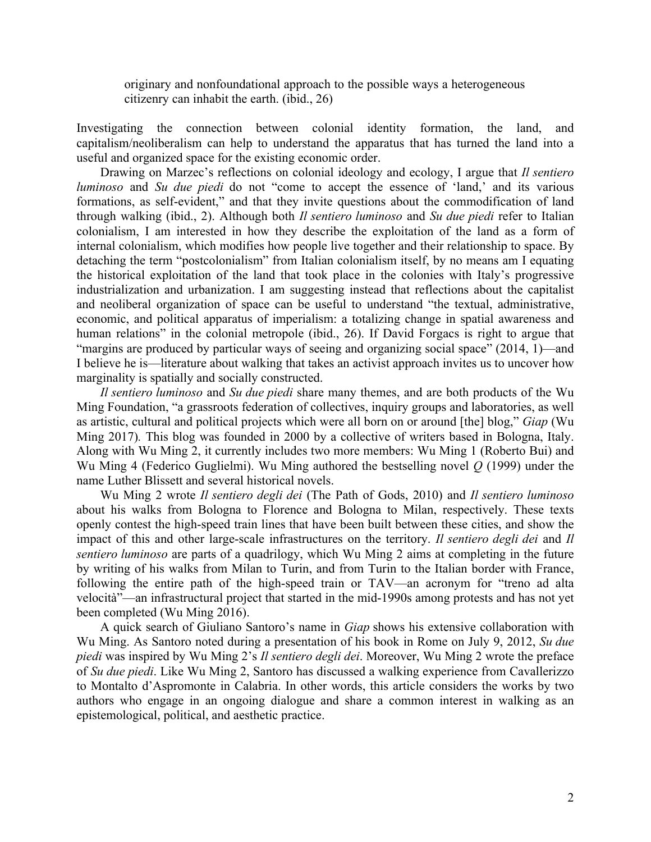originary and nonfoundational approach to the possible ways a heterogeneous citizenry can inhabit the earth. (ibid., 26)

Investigating the connection between colonial identity formation, the land, and capitalism/neoliberalism can help to understand the apparatus that has turned the land into a useful and organized space for the existing economic order.

Drawing on Marzec's reflections on colonial ideology and ecology, I argue that *Il sentiero luminoso* and *Su due piedi* do not "come to accept the essence of 'land,' and its various formations, as self-evident," and that they invite questions about the commodification of land through walking (ibid., 2). Although both *Il sentiero luminoso* and *Su due piedi* refer to Italian colonialism, I am interested in how they describe the exploitation of the land as a form of internal colonialism, which modifies how people live together and their relationship to space. By detaching the term "postcolonialism" from Italian colonialism itself, by no means am I equating the historical exploitation of the land that took place in the colonies with Italy's progressive industrialization and urbanization. I am suggesting instead that reflections about the capitalist and neoliberal organization of space can be useful to understand "the textual, administrative, economic, and political apparatus of imperialism: a totalizing change in spatial awareness and human relations" in the colonial metropole (ibid., 26). If David Forgacs is right to argue that "margins are produced by particular ways of seeing and organizing social space" (2014, 1)—and I believe he is—literature about walking that takes an activist approach invites us to uncover how marginality is spatially and socially constructed.

*Il sentiero luminoso* and *Su due piedi* share many themes, and are both products of the Wu Ming Foundation, "a grassroots federation of collectives, inquiry groups and laboratories, as well as artistic, cultural and political projects which were all born on or around [the] blog," *Giap* (Wu Ming 2017)*.* This blog was founded in 2000 by a collective of writers based in Bologna, Italy. Along with Wu Ming 2, it currently includes two more members: Wu Ming 1 (Roberto Bui) and Wu Ming 4 (Federico Guglielmi). Wu Ming authored the bestselling novel *Q* (1999) under the name Luther Blissett and several historical novels.

Wu Ming 2 wrote *Il sentiero degli dei* (The Path of Gods, 2010) and *Il sentiero luminoso* about his walks from Bologna to Florence and Bologna to Milan, respectively. These texts openly contest the high-speed train lines that have been built between these cities, and show the impact of this and other large-scale infrastructures on the territory. *Il sentiero degli dei* and *Il sentiero luminoso* are parts of a quadrilogy, which Wu Ming 2 aims at completing in the future by writing of his walks from Milan to Turin, and from Turin to the Italian border with France, following the entire path of the high-speed train or TAV—an acronym for "treno ad alta velocità"—an infrastructural project that started in the mid-1990s among protests and has not yet been completed (Wu Ming 2016).

A quick search of Giuliano Santoro's name in *Giap* shows his extensive collaboration with Wu Ming. As Santoro noted during a presentation of his book in Rome on July 9, 2012, *Su due piedi* was inspired by Wu Ming 2's *Il sentiero degli dei*. Moreover, Wu Ming 2 wrote the preface of *Su due piedi*. Like Wu Ming 2, Santoro has discussed a walking experience from Cavallerizzo to Montalto d'Aspromonte in Calabria. In other words, this article considers the works by two authors who engage in an ongoing dialogue and share a common interest in walking as an epistemological, political, and aesthetic practice.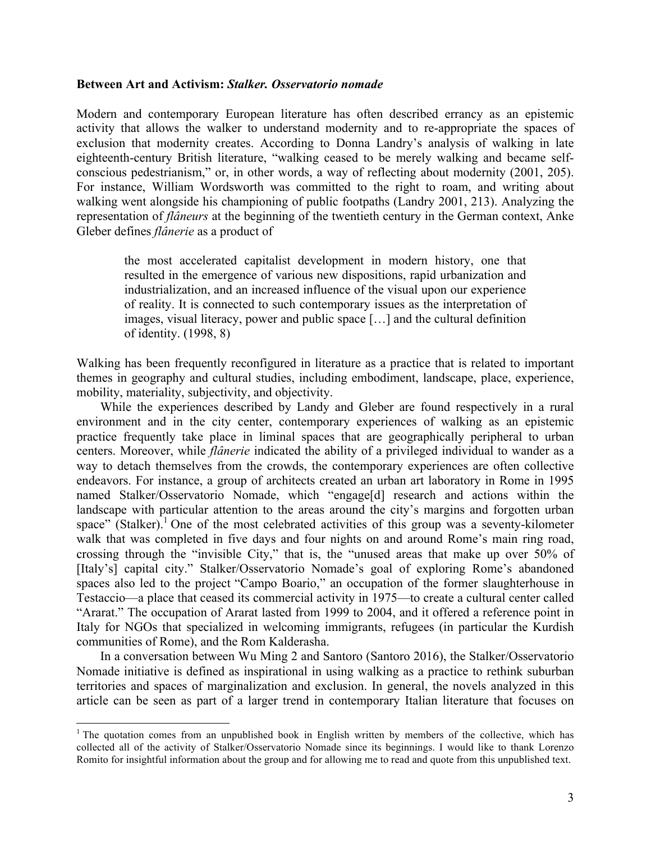#### **Between Art and Activism:** *Stalker. Osservatorio nomade*

Modern and contemporary European literature has often described errancy as an epistemic activity that allows the walker to understand modernity and to re-appropriate the spaces of exclusion that modernity creates. According to Donna Landry's analysis of walking in late eighteenth-century British literature, "walking ceased to be merely walking and became selfconscious pedestrianism," or, in other words, a way of reflecting about modernity (2001, 205). For instance, William Wordsworth was committed to the right to roam, and writing about walking went alongside his championing of public footpaths (Landry 2001, 213). Analyzing the representation of *flâneurs* at the beginning of the twentieth century in the German context, Anke Gleber defines *flânerie* as a product of

the most accelerated capitalist development in modern history, one that resulted in the emergence of various new dispositions, rapid urbanization and industrialization, and an increased influence of the visual upon our experience of reality. It is connected to such contemporary issues as the interpretation of images, visual literacy, power and public space […] and the cultural definition of identity. (1998, 8)

Walking has been frequently reconfigured in literature as a practice that is related to important themes in geography and cultural studies, including embodiment, landscape, place, experience, mobility, materiality, subjectivity, and objectivity.

While the experiences described by Landy and Gleber are found respectively in a rural environment and in the city center, contemporary experiences of walking as an epistemic practice frequently take place in liminal spaces that are geographically peripheral to urban centers. Moreover, while *flânerie* indicated the ability of a privileged individual to wander as a way to detach themselves from the crowds, the contemporary experiences are often collective endeavors. For instance, a group of architects created an urban art laboratory in Rome in 1995 named Stalker/Osservatorio Nomade, which "engage[d] research and actions within the landscape with particular attention to the areas around the city's margins and forgotten urban space" (Stalker).<sup>1</sup> One of the most celebrated activities of this group was a seventy-kilometer walk that was completed in five days and four nights on and around Rome's main ring road, crossing through the "invisible City," that is, the "unused areas that make up over 50% of [Italy's] capital city." Stalker/Osservatorio Nomade's goal of exploring Rome's abandoned spaces also led to the project "Campo Boario," an occupation of the former slaughterhouse in Testaccio—a place that ceased its commercial activity in 1975—to create a cultural center called "Ararat." The occupation of Ararat lasted from 1999 to 2004, and it offered a reference point in Italy for NGOs that specialized in welcoming immigrants, refugees (in particular the Kurdish communities of Rome), and the Rom Kalderasha.

In a conversation between Wu Ming 2 and Santoro (Santoro 2016), the Stalker/Osservatorio Nomade initiative is defined as inspirational in using walking as a practice to rethink suburban territories and spaces of marginalization and exclusion. In general, the novels analyzed in this article can be seen as part of a larger trend in contemporary Italian literature that focuses on

 $1$ <sup>1</sup> The quotation comes from an unpublished book in English written by members of the collective, which has collected all of the activity of Stalker/Osservatorio Nomade since its beginnings. I would like to thank Lorenzo Romito for insightful information about the group and for allowing me to read and quote from this unpublished text.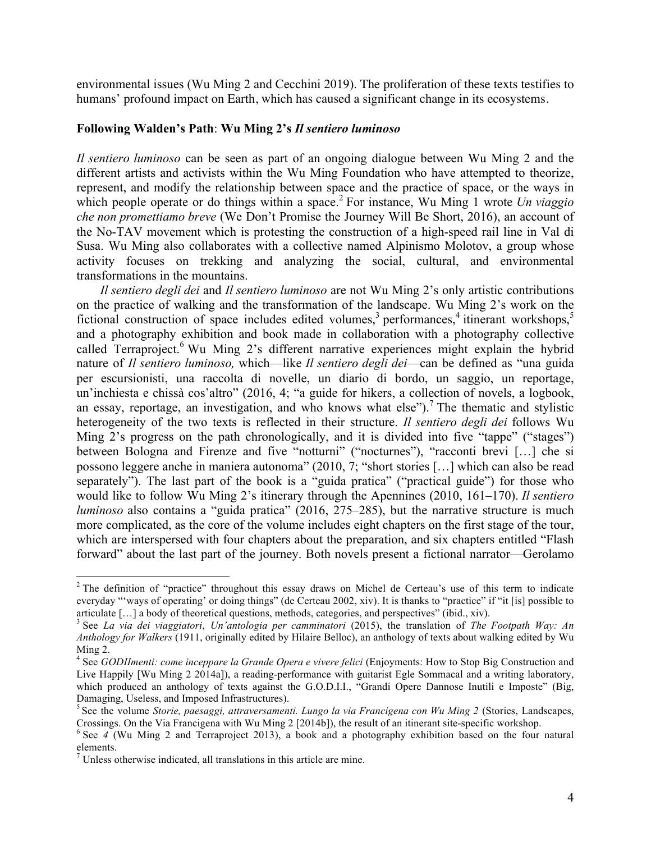environmental issues (Wu Ming 2 and Cecchini 2019). The proliferation of these texts testifies to humans' profound impact on Earth, which has caused a significant change in its ecosystems.

#### **Following Walden's Path**: **Wu Ming 2's** *Il sentiero luminoso*

*Il sentiero luminoso* can be seen as part of an ongoing dialogue between Wu Ming 2 and the different artists and activists within the Wu Ming Foundation who have attempted to theorize, represent, and modify the relationship between space and the practice of space, or the ways in which people operate or do things within a space. <sup>2</sup> For instance, Wu Ming 1 wrote *Un viaggio che non promettiamo breve* (We Don't Promise the Journey Will Be Short, 2016), an account of the No-TAV movement which is protesting the construction of a high-speed rail line in Val di Susa. Wu Ming also collaborates with a collective named Alpinismo Molotov, a group whose activity focuses on trekking and analyzing the social, cultural, and environmental transformations in the mountains.

*Il sentiero degli dei* and *Il sentiero luminoso* are not Wu Ming 2's only artistic contributions on the practice of walking and the transformation of the landscape. Wu Ming 2's work on the fictional construction of space includes edited volumes,<sup>3</sup> performances,<sup>4</sup> itinerant workshops,<sup>5</sup> and a photography exhibition and book made in collaboration with a photography collective called Terraproject.<sup>6</sup> Wu Ming 2's different narrative experiences might explain the hybrid nature of *Il sentiero luminoso,* which—like *Il sentiero degli dei*—can be defined as "una guida per escursionisti, una raccolta di novelle, un diario di bordo, un saggio, un reportage, un'inchiesta e chissà cos'altro" (2016, 4; "a guide for hikers, a collection of novels, a logbook, an essay, reportage, an investigation, and who knows what else").<sup>7</sup> The thematic and stylistic heterogeneity of the two texts is reflected in their structure. *Il sentiero degli dei* follows Wu Ming 2's progress on the path chronologically, and it is divided into five "tappe" ("stages") between Bologna and Firenze and five "notturni" ("nocturnes"), "racconti brevi [...] che si possono leggere anche in maniera autonoma" (2010, 7; "short stories […] which can also be read separately"). The last part of the book is a "guida pratica" ("practical guide") for those who would like to follow Wu Ming 2's itinerary through the Apennines (2010, 161–170). *Il sentiero luminoso* also contains a "guida pratica" (2016, 275–285), but the narrative structure is much more complicated, as the core of the volume includes eight chapters on the first stage of the tour, which are interspersed with four chapters about the preparation, and six chapters entitled "Flash forward" about the last part of the journey. Both novels present a fictional narrator—Gerolamo

<sup>&</sup>lt;sup>2</sup> The definition of "practice" throughout this essay draws on Michel de Certeau's use of this term to indicate everyday "'ways of operating' or doing things" (de Certeau 2002, xiv). It is thanks to "practice" if "it [is] possible to articulate [...] a body of theoretical questions, methods, categories, and perspectives" (ibid., xiv).<br><sup>3</sup> See *La via dei viaggiatori*, *Un'antologia per camminatori* (2015), the translation of *The Footpath Way: An* 

*Anthology for Walkers* (1911, originally edited by Hilaire Belloc), an anthology of texts about walking edited by Wu

Ming 2. <sup>4</sup> See *GODIImenti: come inceppare la Grande Opera <sup>e</sup> vivere felici* (Enjoyments: How to Stop Big Construction and Live Happily [Wu Ming 2 2014a]), a reading-performance with guitarist Egle Sommacal and a writing laboratory, which produced an anthology of texts against the G.O.D.I.I., "Grandi Opere Dannose Inutili e Imposte" (Big,

Damaging, Useless, and Imposed Infrastructures).<br><sup>5</sup> See the volume *Storie, paesaggi, attraversamenti. Lungo la via Francigena con Wu Ming 2* (Stories, Landscapes,

Crossings. On the Via Francigena with Wu Ming 2 [2014b]), the result of an itinerant site-specific workshop. <sup>6</sup> See *<sup>4</sup>* (Wu Ming <sup>2</sup> and Terraproject 2013), <sup>a</sup> book and <sup>a</sup> photography exhibition based on the four natural elements.

 $<sup>7</sup>$  Unless otherwise indicated, all translations in this article are mine.</sup>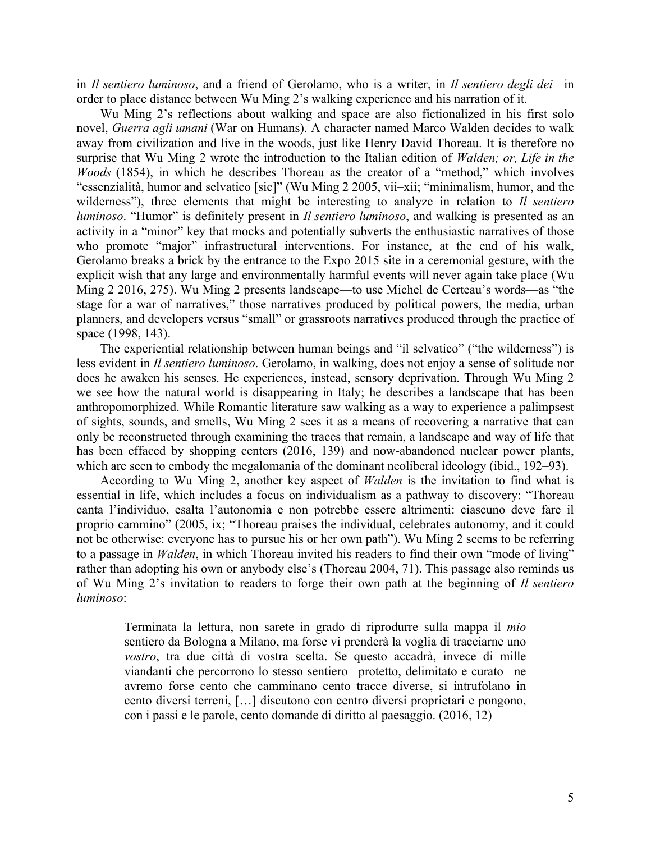in *Il sentiero luminoso*, and a friend of Gerolamo, who is a writer, in *Il sentiero degli dei—*in order to place distance between Wu Ming 2's walking experience and his narration of it.

Wu Ming 2's reflections about walking and space are also fictionalized in his first solo novel, *Guerra agli umani* (War on Humans). A character named Marco Walden decides to walk away from civilization and live in the woods, just like Henry David Thoreau. It is therefore no surprise that Wu Ming 2 wrote the introduction to the Italian edition of *Walden; or, Life in the Woods* (1854), in which he describes Thoreau as the creator of a "method," which involves "essenzialità, humor and selvatico [sic]" (Wu Ming 2 2005, vii–xii; "minimalism, humor, and the wilderness"), three elements that might be interesting to analyze in relation to *Il sentiero luminoso*. "Humor" is definitely present in *Il sentiero luminoso*, and walking is presented as an activity in a "minor" key that mocks and potentially subverts the enthusiastic narratives of those who promote "major" infrastructural interventions. For instance, at the end of his walk, Gerolamo breaks a brick by the entrance to the Expo 2015 site in a ceremonial gesture, with the explicit wish that any large and environmentally harmful events will never again take place (Wu Ming 2 2016, 275). Wu Ming 2 presents landscape—to use Michel de Certeau's words—as "the stage for a war of narratives," those narratives produced by political powers, the media, urban planners, and developers versus "small" or grassroots narratives produced through the practice of space (1998, 143).

The experiential relationship between human beings and "il selvatico" ("the wilderness") is less evident in *Il sentiero luminoso*. Gerolamo, in walking, does not enjoy a sense of solitude nor does he awaken his senses. He experiences, instead, sensory deprivation. Through Wu Ming 2 we see how the natural world is disappearing in Italy; he describes a landscape that has been anthropomorphized. While Romantic literature saw walking as a way to experience a palimpsest of sights, sounds, and smells, Wu Ming 2 sees it as a means of recovering a narrative that can only be reconstructed through examining the traces that remain, a landscape and way of life that has been effaced by shopping centers (2016, 139) and now-abandoned nuclear power plants, which are seen to embody the megalomania of the dominant neoliberal ideology (ibid., 192–93).

According to Wu Ming 2, another key aspect of *Walden* is the invitation to find what is essential in life, which includes a focus on individualism as a pathway to discovery: "Thoreau canta l'individuo, esalta l'autonomia e non potrebbe essere altrimenti: ciascuno deve fare il proprio cammino" (2005, ix; "Thoreau praises the individual, celebrates autonomy, and it could not be otherwise: everyone has to pursue his or her own path"). Wu Ming 2 seems to be referring to a passage in *Walden*, in which Thoreau invited his readers to find their own "mode of living" rather than adopting his own or anybody else's (Thoreau 2004, 71). This passage also reminds us of Wu Ming 2's invitation to readers to forge their own path at the beginning of *Il sentiero luminoso*:

Terminata la lettura, non sarete in grado di riprodurre sulla mappa il *mio* sentiero da Bologna a Milano, ma forse vi prenderà la voglia di tracciarne uno *vostro*, tra due città di vostra scelta. Se questo accadrà, invece di mille viandanti che percorrono lo stesso sentiero –protetto, delimitato e curato– ne avremo forse cento che camminano cento tracce diverse, si intrufolano in cento diversi terreni, […] discutono con centro diversi proprietari e pongono, con i passi e le parole, cento domande di diritto al paesaggio. (2016, 12)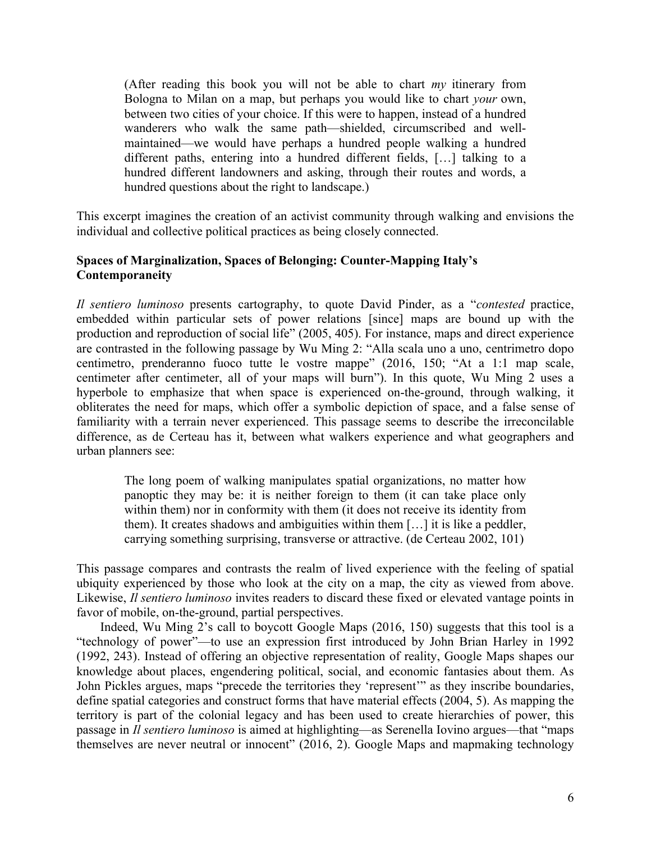(After reading this book you will not be able to chart *my* itinerary from Bologna to Milan on a map, but perhaps you would like to chart *your* own, between two cities of your choice. If this were to happen, instead of a hundred wanderers who walk the same path—shielded, circumscribed and wellmaintained—we would have perhaps a hundred people walking a hundred different paths, entering into a hundred different fields, […] talking to a hundred different landowners and asking, through their routes and words, a hundred questions about the right to landscape.)

This excerpt imagines the creation of an activist community through walking and envisions the individual and collective political practices as being closely connected.

#### **Spaces of Marginalization, Spaces of Belonging: Counter-Mapping Italy's Contemporaneity**

*Il sentiero luminoso* presents cartography, to quote David Pinder, as a "*contested* practice, embedded within particular sets of power relations [since] maps are bound up with the production and reproduction of social life" (2005, 405). For instance, maps and direct experience are contrasted in the following passage by Wu Ming 2: "Alla scala uno a uno, centrimetro dopo centimetro, prenderanno fuoco tutte le vostre mappe" (2016, 150; "At a 1:1 map scale, centimeter after centimeter, all of your maps will burn"). In this quote, Wu Ming 2 uses a hyperbole to emphasize that when space is experienced on-the-ground, through walking, it obliterates the need for maps, which offer a symbolic depiction of space, and a false sense of familiarity with a terrain never experienced. This passage seems to describe the irreconcilable difference, as de Certeau has it, between what walkers experience and what geographers and urban planners see:

The long poem of walking manipulates spatial organizations, no matter how panoptic they may be: it is neither foreign to them (it can take place only within them) nor in conformity with them (it does not receive its identity from them). It creates shadows and ambiguities within them […] it is like a peddler, carrying something surprising, transverse or attractive. (de Certeau 2002, 101)

This passage compares and contrasts the realm of lived experience with the feeling of spatial ubiquity experienced by those who look at the city on a map, the city as viewed from above. Likewise, *Il sentiero luminoso* invites readers to discard these fixed or elevated vantage points in favor of mobile, on-the-ground, partial perspectives.

Indeed, Wu Ming 2's call to boycott Google Maps (2016, 150) suggests that this tool is a "technology of power"—to use an expression first introduced by John Brian Harley in 1992 (1992, 243). Instead of offering an objective representation of reality, Google Maps shapes our knowledge about places, engendering political, social, and economic fantasies about them. As John Pickles argues, maps "precede the territories they 'represent'" as they inscribe boundaries, define spatial categories and construct forms that have material effects (2004, 5). As mapping the territory is part of the colonial legacy and has been used to create hierarchies of power, this passage in *Il sentiero luminoso* is aimed at highlighting—as Serenella Iovino argues—that "maps themselves are never neutral or innocent" (2016, 2). Google Maps and mapmaking technology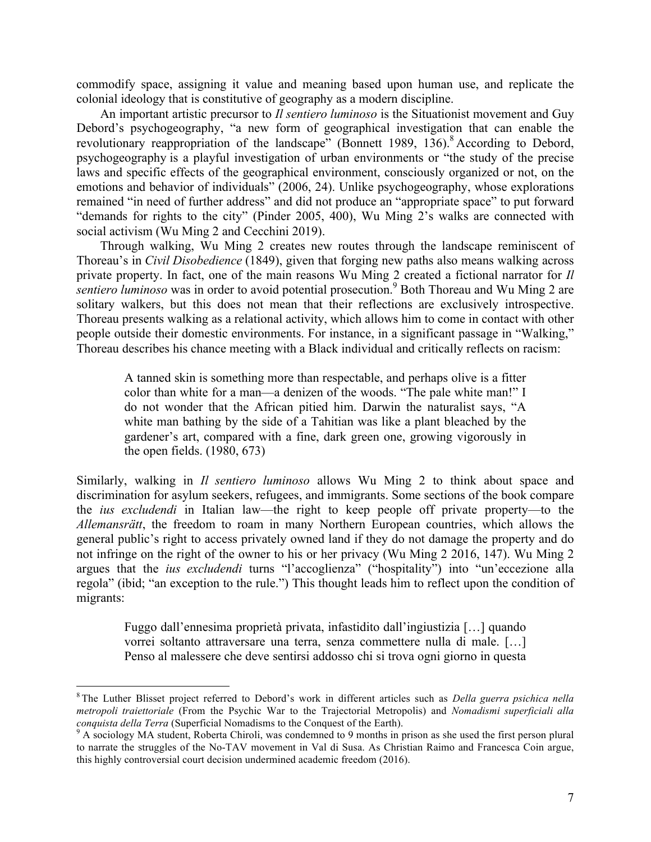commodify space, assigning it value and meaning based upon human use, and replicate the colonial ideology that is constitutive of geography as a modern discipline.

An important artistic precursor to *Il sentiero luminoso* is the Situationist movement and Guy Debord's psychogeography, "a new form of geographical investigation that can enable the revolutionary reappropriation of the landscape" (Bonnett 1989,  $136$ ).<sup>8</sup> According to Debord, psychogeography is a playful investigation of urban environments or "the study of the precise laws and specific effects of the geographical environment, consciously organized or not, on the emotions and behavior of individuals" (2006, 24). Unlike psychogeography, whose explorations remained "in need of further address" and did not produce an "appropriate space" to put forward "demands for rights to the city" (Pinder 2005, 400), Wu Ming 2's walks are connected with social activism (Wu Ming 2 and Cecchini 2019).

Through walking, Wu Ming 2 creates new routes through the landscape reminiscent of Thoreau's in *Civil Disobedience* (1849), given that forging new paths also means walking across private property. In fact, one of the main reasons Wu Ming 2 created a fictional narrator for *Il sentiero luminoso* was in order to avoid potential prosecution. <sup>9</sup> Both Thoreau and Wu Ming 2 are solitary walkers, but this does not mean that their reflections are exclusively introspective. Thoreau presents walking as a relational activity, which allows him to come in contact with other people outside their domestic environments. For instance, in a significant passage in "Walking," Thoreau describes his chance meeting with a Black individual and critically reflects on racism:

A tanned skin is something more than respectable, and perhaps olive is a fitter color than white for a man—a denizen of the woods. "The pale white man!" I do not wonder that the African pitied him. Darwin the naturalist says, "A white man bathing by the side of a Tahitian was like a plant bleached by the gardener's art, compared with a fine, dark green one, growing vigorously in the open fields. (1980, 673)

Similarly, walking in *Il sentiero luminoso* allows Wu Ming 2 to think about space and discrimination for asylum seekers, refugees, and immigrants. Some sections of the book compare the *ius excludendi* in Italian law—the right to keep people off private property—to the *Allemansrätt*, the freedom to roam in many Northern European countries, which allows the general public's right to access privately owned land if they do not damage the property and do not infringe on the right of the owner to his or her privacy (Wu Ming 2 2016, 147). Wu Ming 2 argues that the *ius excludendi* turns "l'accoglienza" ("hospitality") into "un'eccezione alla regola" (ibid; "an exception to the rule.") This thought leads him to reflect upon the condition of migrants:

Fuggo dall'ennesima proprietà privata, infastidito dall'ingiustizia […] quando vorrei soltanto attraversare una terra, senza commettere nulla di male. […] Penso al malessere che deve sentirsi addosso chi si trova ogni giorno in questa

 <sup>8</sup> The Luther Blisset project referred to Debord's work in different articles such as *Della guerra psichica nella metropoli traiettoriale* (From the Psychic War to the Trajectorial Metropolis) and *Nomadismi superficiali alla conquista della Terra* (Superficial Nomadisms to the Conquest of the Earth).<br><sup>9</sup> A sociology MA student, Roberta Chiroli, was condemned to 9 months in prison as she used the first person plural

to narrate the struggles of the No-TAV movement in Val di Susa. As Christian Raimo and Francesca Coin argue, this highly controversial court decision undermined academic freedom (2016).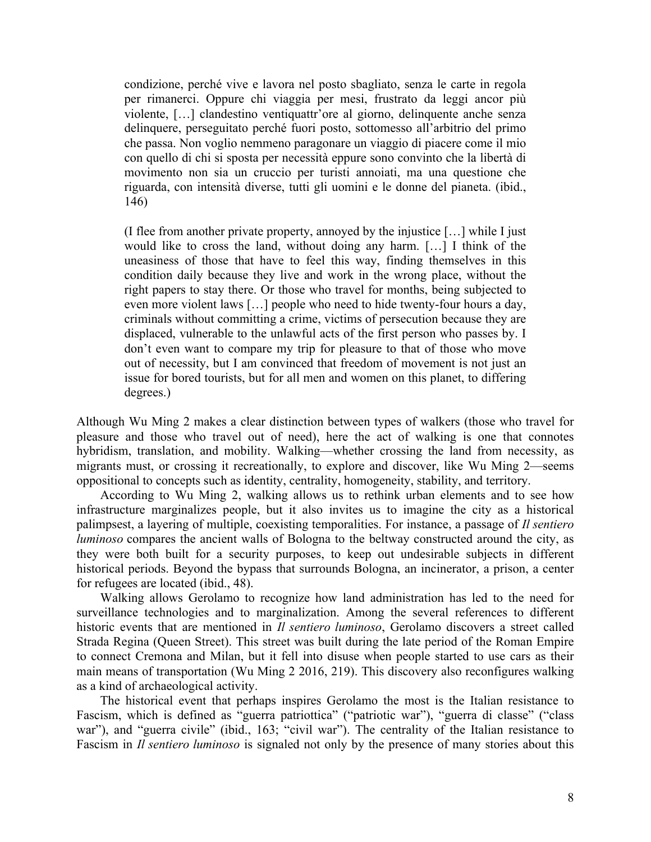condizione, perché vive e lavora nel posto sbagliato, senza le carte in regola per rimanerci. Oppure chi viaggia per mesi, frustrato da leggi ancor più violente, […] clandestino ventiquattr'ore al giorno, delinquente anche senza delinquere, perseguitato perché fuori posto, sottomesso all'arbitrio del primo che passa. Non voglio nemmeno paragonare un viaggio di piacere come il mio con quello di chi si sposta per necessità eppure sono convinto che la libertà di movimento non sia un cruccio per turisti annoiati, ma una questione che riguarda, con intensità diverse, tutti gli uomini e le donne del pianeta. (ibid., 146)

(I flee from another private property, annoyed by the injustice […] while I just would like to cross the land, without doing any harm. […] I think of the uneasiness of those that have to feel this way, finding themselves in this condition daily because they live and work in the wrong place, without the right papers to stay there. Or those who travel for months, being subjected to even more violent laws […] people who need to hide twenty-four hours a day, criminals without committing a crime, victims of persecution because they are displaced, vulnerable to the unlawful acts of the first person who passes by. I don't even want to compare my trip for pleasure to that of those who move out of necessity, but I am convinced that freedom of movement is not just an issue for bored tourists, but for all men and women on this planet, to differing degrees.)

Although Wu Ming 2 makes a clear distinction between types of walkers (those who travel for pleasure and those who travel out of need), here the act of walking is one that connotes hybridism, translation, and mobility. Walking—whether crossing the land from necessity, as migrants must, or crossing it recreationally, to explore and discover, like Wu Ming 2—seems oppositional to concepts such as identity, centrality, homogeneity, stability, and territory.

According to Wu Ming 2, walking allows us to rethink urban elements and to see how infrastructure marginalizes people, but it also invites us to imagine the city as a historical palimpsest, a layering of multiple, coexisting temporalities. For instance, a passage of *Il sentiero luminoso* compares the ancient walls of Bologna to the beltway constructed around the city, as they were both built for a security purposes, to keep out undesirable subjects in different historical periods. Beyond the bypass that surrounds Bologna, an incinerator, a prison, a center for refugees are located (ibid., 48).

Walking allows Gerolamo to recognize how land administration has led to the need for surveillance technologies and to marginalization. Among the several references to different historic events that are mentioned in *Il sentiero luminoso*, Gerolamo discovers a street called Strada Regina (Queen Street). This street was built during the late period of the Roman Empire to connect Cremona and Milan, but it fell into disuse when people started to use cars as their main means of transportation (Wu Ming 2 2016, 219). This discovery also reconfigures walking as a kind of archaeological activity.

The historical event that perhaps inspires Gerolamo the most is the Italian resistance to Fascism, which is defined as "guerra patriottica" ("patriotic war"), "guerra di classe" ("class war"), and "guerra civile" (ibid., 163; "civil war"). The centrality of the Italian resistance to Fascism in *Il sentiero luminoso* is signaled not only by the presence of many stories about this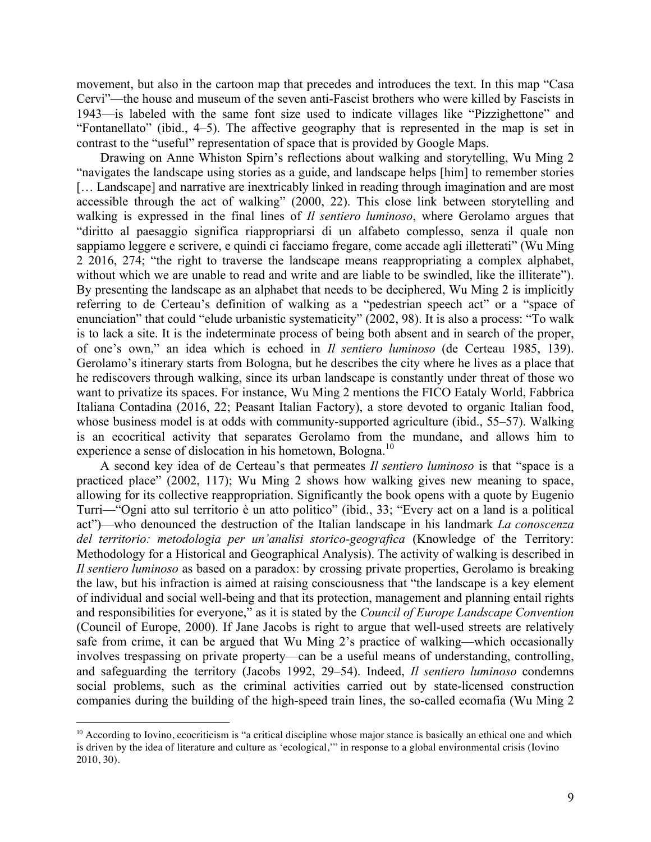movement, but also in the cartoon map that precedes and introduces the text. In this map "Casa Cervi"—the house and museum of the seven anti-Fascist brothers who were killed by Fascists in 1943—is labeled with the same font size used to indicate villages like "Pizzighettone" and "Fontanellato" (ibid., 4–5). The affective geography that is represented in the map is set in contrast to the "useful" representation of space that is provided by Google Maps.

Drawing on Anne Whiston Spirn's reflections about walking and storytelling, Wu Ming 2 "navigates the landscape using stories as a guide, and landscape helps [him] to remember stories [... Landscape] and narrative are inextricably linked in reading through imagination and are most accessible through the act of walking" (2000, 22). This close link between storytelling and walking is expressed in the final lines of *Il sentiero luminoso*, where Gerolamo argues that "diritto al paesaggio significa riappropriarsi di un alfabeto complesso, senza il quale non sappiamo leggere e scrivere, e quindi ci facciamo fregare, come accade agli illetterati" (Wu Ming 2 2016, 274; "the right to traverse the landscape means reappropriating a complex alphabet, without which we are unable to read and write and are liable to be swindled, like the illiterate"). By presenting the landscape as an alphabet that needs to be deciphered, Wu Ming 2 is implicitly referring to de Certeau's definition of walking as a "pedestrian speech act" or a "space of enunciation" that could "elude urbanistic systematicity" (2002, 98). It is also a process: "To walk is to lack a site. It is the indeterminate process of being both absent and in search of the proper, of one's own," an idea which is echoed in *Il sentiero luminoso* (de Certeau 1985, 139). Gerolamo's itinerary starts from Bologna, but he describes the city where he lives as a place that he rediscovers through walking, since its urban landscape is constantly under threat of those wo want to privatize its spaces. For instance, Wu Ming 2 mentions the FICO Eataly World, Fabbrica Italiana Contadina (2016, 22; Peasant Italian Factory), a store devoted to organic Italian food, whose business model is at odds with community-supported agriculture (ibid., 55–57). Walking is an ecocritical activity that separates Gerolamo from the mundane, and allows him to experience a sense of dislocation in his hometown, Bologna.<sup>10</sup>

A second key idea of de Certeau's that permeates *Il sentiero luminoso* is that "space is a practiced place" (2002, 117); Wu Ming 2 shows how walking gives new meaning to space, allowing for its collective reappropriation. Significantly the book opens with a quote by Eugenio Turri—"Ogni atto sul territorio è un atto politico" (ibid., 33; "Every act on a land is a political act")—who denounced the destruction of the Italian landscape in his landmark *La conoscenza del territorio: metodologia per un'analisi storico-geografica* (Knowledge of the Territory: Methodology for a Historical and Geographical Analysis). The activity of walking is described in *Il sentiero luminoso* as based on a paradox: by crossing private properties, Gerolamo is breaking the law, but his infraction is aimed at raising consciousness that "the landscape is a key element of individual and social well-being and that its protection, management and planning entail rights and responsibilities for everyone," as it is stated by the *Council of Europe Landscape Convention* (Council of Europe, 2000). If Jane Jacobs is right to argue that well-used streets are relatively safe from crime, it can be argued that Wu Ming 2's practice of walking—which occasionally involves trespassing on private property—can be a useful means of understanding, controlling, and safeguarding the territory (Jacobs 1992, 29–54). Indeed, *Il sentiero luminoso* condemns social problems, such as the criminal activities carried out by state-licensed construction companies during the building of the high-speed train lines, the so-called ecomafia (Wu Ming 2

 $\overline{a}$ 

 $10$  According to Iovino, ecocriticism is "a critical discipline whose major stance is basically an ethical one and which is driven by the idea of literature and culture as 'ecological,'" in response to a global environmental crisis (Iovino 2010, 30).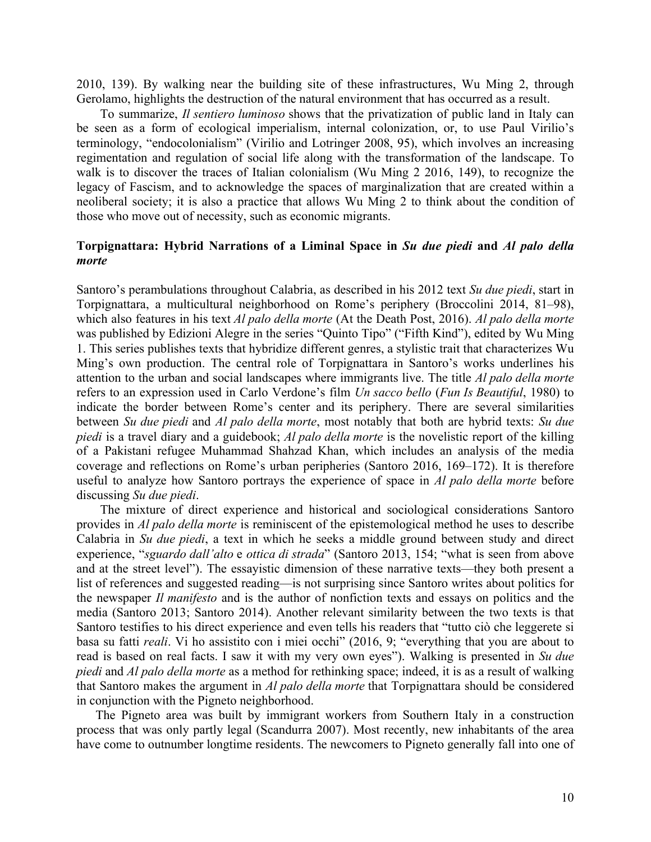2010, 139). By walking near the building site of these infrastructures, Wu Ming 2, through Gerolamo, highlights the destruction of the natural environment that has occurred as a result.

To summarize, *Il sentiero luminoso* shows that the privatization of public land in Italy can be seen as a form of ecological imperialism, internal colonization, or, to use Paul Virilio's terminology, "endocolonialism" (Virilio and Lotringer 2008, 95), which involves an increasing regimentation and regulation of social life along with the transformation of the landscape. To walk is to discover the traces of Italian colonialism (Wu Ming 2 2016, 149), to recognize the legacy of Fascism, and to acknowledge the spaces of marginalization that are created within a neoliberal society; it is also a practice that allows Wu Ming 2 to think about the condition of those who move out of necessity, such as economic migrants.

#### **Torpignattara: Hybrid Narrations of a Liminal Space in** *Su due piedi* **and** *Al palo della morte*

Santoro's perambulations throughout Calabria, as described in his 2012 text *Su due piedi*, start in Torpignattara, a multicultural neighborhood on Rome's periphery (Broccolini 2014, 81–98), which also features in his text *Al palo della morte* (At the Death Post, 2016). *Al palo della morte* was published by Edizioni Alegre in the series "Quinto Tipo" ("Fifth Kind"), edited by Wu Ming 1. This series publishes texts that hybridize different genres, a stylistic trait that characterizes Wu Ming's own production. The central role of Torpignattara in Santoro's works underlines his attention to the urban and social landscapes where immigrants live. The title *Al palo della morte* refers to an expression used in Carlo Verdone's film *Un sacco bello* (*Fun Is Beautiful*, 1980) to indicate the border between Rome's center and its periphery. There are several similarities between *Su due piedi* and *Al palo della morte*, most notably that both are hybrid texts: *Su due piedi* is a travel diary and a guidebook; *Al palo della morte* is the novelistic report of the killing of a Pakistani refugee Muhammad Shahzad Khan, which includes an analysis of the media coverage and reflections on Rome's urban peripheries (Santoro 2016, 169–172). It is therefore useful to analyze how Santoro portrays the experience of space in *Al palo della morte* before discussing *Su due piedi*.

The mixture of direct experience and historical and sociological considerations Santoro provides in *Al palo della morte* is reminiscent of the epistemological method he uses to describe Calabria in *Su due piedi*, a text in which he seeks a middle ground between study and direct experience, "*sguardo dall'alto* e *ottica di strada*" (Santoro 2013, 154; "what is seen from above and at the street level"). The essayistic dimension of these narrative texts—they both present a list of references and suggested reading—is not surprising since Santoro writes about politics for the newspaper *Il manifesto* and is the author of nonfiction texts and essays on politics and the media (Santoro 2013; Santoro 2014). Another relevant similarity between the two texts is that Santoro testifies to his direct experience and even tells his readers that "tutto ciò che leggerete si basa su fatti *reali*. Vi ho assistito con i miei occhi" (2016, 9; "everything that you are about to read is based on real facts. I saw it with my very own eyes"). Walking is presented in *Su due piedi* and *Al palo della morte* as a method for rethinking space; indeed, it is as a result of walking that Santoro makes the argument in *Al palo della morte* that Torpignattara should be considered in conjunction with the Pigneto neighborhood.

The Pigneto area was built by immigrant workers from Southern Italy in a construction process that was only partly legal (Scandurra 2007). Most recently, new inhabitants of the area have come to outnumber longtime residents. The newcomers to Pigneto generally fall into one of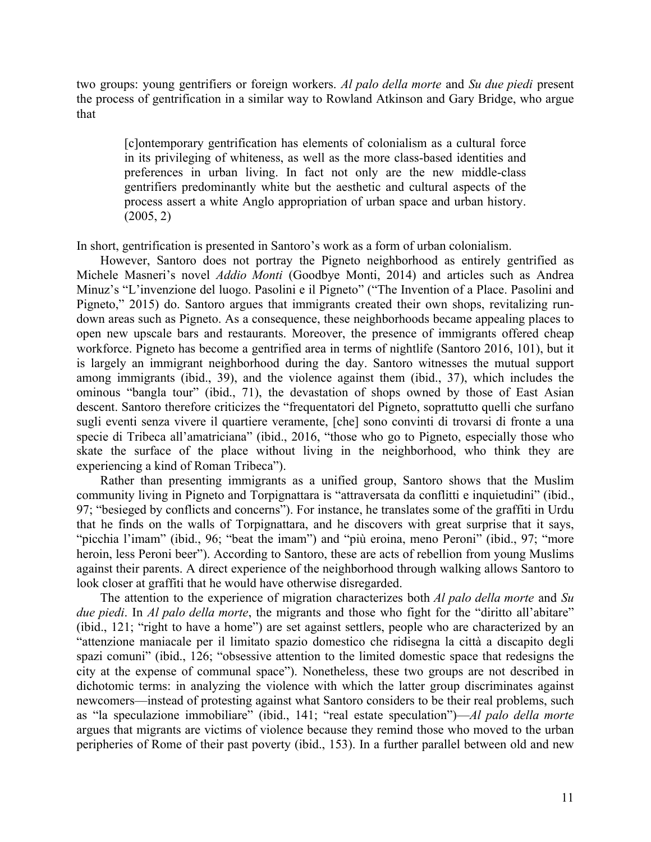two groups: young gentrifiers or foreign workers. *Al palo della morte* and *Su due piedi* present the process of gentrification in a similar way to Rowland Atkinson and Gary Bridge, who argue that

[c]ontemporary gentrification has elements of colonialism as a cultural force in its privileging of whiteness, as well as the more class-based identities and preferences in urban living. In fact not only are the new middle-class gentrifiers predominantly white but the aesthetic and cultural aspects of the process assert a white Anglo appropriation of urban space and urban history. (2005, 2)

In short, gentrification is presented in Santoro's work as a form of urban colonialism.

However, Santoro does not portray the Pigneto neighborhood as entirely gentrified as Michele Masneri's novel *Addio Monti* (Goodbye Monti, 2014) and articles such as Andrea Minuz's "L'invenzione del luogo. Pasolini e il Pigneto" ("The Invention of a Place. Pasolini and Pigneto," 2015) do. Santoro argues that immigrants created their own shops, revitalizing rundown areas such as Pigneto. As a consequence, these neighborhoods became appealing places to open new upscale bars and restaurants. Moreover, the presence of immigrants offered cheap workforce. Pigneto has become a gentrified area in terms of nightlife (Santoro 2016, 101), but it is largely an immigrant neighborhood during the day. Santoro witnesses the mutual support among immigrants (ibid., 39), and the violence against them (ibid., 37), which includes the ominous "bangla tour" (ibid., 71), the devastation of shops owned by those of East Asian descent. Santoro therefore criticizes the "frequentatori del Pigneto, soprattutto quelli che surfano sugli eventi senza vivere il quartiere veramente, [che] sono convinti di trovarsi di fronte a una specie di Tribeca all'amatriciana" (ibid., 2016, "those who go to Pigneto, especially those who skate the surface of the place without living in the neighborhood, who think they are experiencing a kind of Roman Tribeca").

Rather than presenting immigrants as a unified group, Santoro shows that the Muslim community living in Pigneto and Torpignattara is "attraversata da conflitti e inquietudini" (ibid., 97; "besieged by conflicts and concerns"). For instance, he translates some of the graffiti in Urdu that he finds on the walls of Torpignattara, and he discovers with great surprise that it says, "picchia l'imam" (ibid., 96; "beat the imam") and "più eroina, meno Peroni" (ibid., 97; "more heroin, less Peroni beer"). According to Santoro, these are acts of rebellion from young Muslims against their parents. A direct experience of the neighborhood through walking allows Santoro to look closer at graffiti that he would have otherwise disregarded.

The attention to the experience of migration characterizes both *Al palo della morte* and *Su due piedi*. In *Al palo della morte*, the migrants and those who fight for the "diritto all'abitare" (ibid., 121; "right to have a home") are set against settlers, people who are characterized by an "attenzione maniacale per il limitato spazio domestico che ridisegna la città a discapito degli spazi comuni" (ibid., 126; "obsessive attention to the limited domestic space that redesigns the city at the expense of communal space"). Nonetheless, these two groups are not described in dichotomic terms: in analyzing the violence with which the latter group discriminates against newcomers—instead of protesting against what Santoro considers to be their real problems, such as "la speculazione immobiliare" (ibid., 141; "real estate speculation")—*Al palo della morte* argues that migrants are victims of violence because they remind those who moved to the urban peripheries of Rome of their past poverty (ibid., 153). In a further parallel between old and new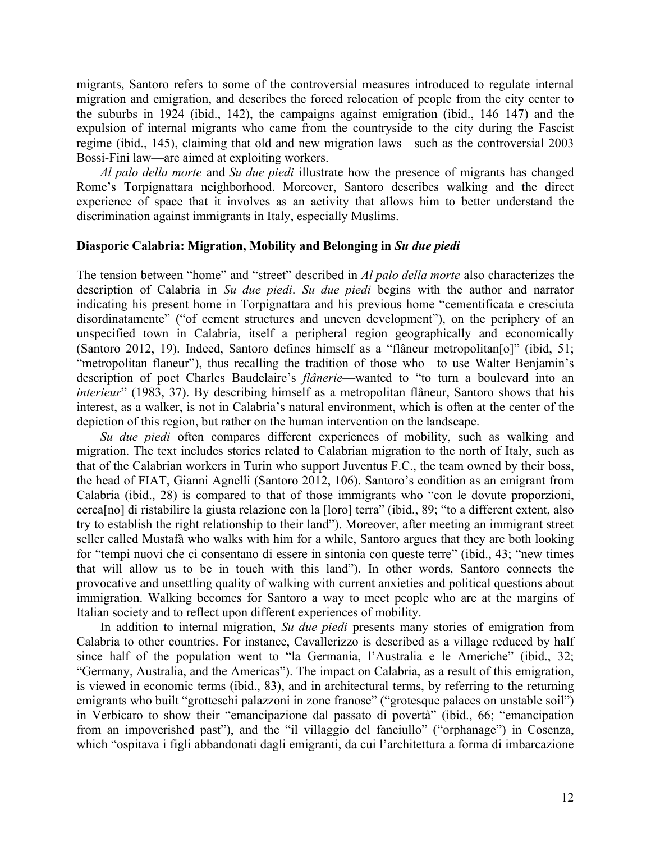migrants, Santoro refers to some of the controversial measures introduced to regulate internal migration and emigration, and describes the forced relocation of people from the city center to the suburbs in 1924 (ibid., 142), the campaigns against emigration (ibid., 146–147) and the expulsion of internal migrants who came from the countryside to the city during the Fascist regime (ibid., 145), claiming that old and new migration laws—such as the controversial 2003 Bossi-Fini law—are aimed at exploiting workers.

*Al palo della morte* and *Su due piedi* illustrate how the presence of migrants has changed Rome's Torpignattara neighborhood. Moreover, Santoro describes walking and the direct experience of space that it involves as an activity that allows him to better understand the discrimination against immigrants in Italy, especially Muslims.

#### **Diasporic Calabria: Migration, Mobility and Belonging in** *Su due piedi*

The tension between "home" and "street" described in *Al palo della morte* also characterizes the description of Calabria in *Su due piedi*. *Su due piedi* begins with the author and narrator indicating his present home in Torpignattara and his previous home "cementificata e cresciuta disordinatamente" ("of cement structures and uneven development"), on the periphery of an unspecified town in Calabria, itself a peripheral region geographically and economically (Santoro 2012, 19). Indeed, Santoro defines himself as a "flâneur metropolitan[o]" (ibid, 51; "metropolitan flaneur"), thus recalling the tradition of those who—to use Walter Benjamin's description of poet Charles Baudelaire's *flânerie*—wanted to "to turn a boulevard into an *interieur*" (1983, 37). By describing himself as a metropolitan flâneur, Santoro shows that his interest, as a walker, is not in Calabria's natural environment, which is often at the center of the depiction of this region, but rather on the human intervention on the landscape.

*Su due piedi* often compares different experiences of mobility, such as walking and migration. The text includes stories related to Calabrian migration to the north of Italy, such as that of the Calabrian workers in Turin who support Juventus F.C., the team owned by their boss, the head of FIAT, Gianni Agnelli (Santoro 2012, 106). Santoro's condition as an emigrant from Calabria (ibid., 28) is compared to that of those immigrants who "con le dovute proporzioni, cerca[no] di ristabilire la giusta relazione con la [loro] terra" (ibid., 89; "to a different extent, also try to establish the right relationship to their land"). Moreover, after meeting an immigrant street seller called Mustafà who walks with him for a while, Santoro argues that they are both looking for "tempi nuovi che ci consentano di essere in sintonia con queste terre" (ibid., 43; "new times that will allow us to be in touch with this land"). In other words, Santoro connects the provocative and unsettling quality of walking with current anxieties and political questions about immigration. Walking becomes for Santoro a way to meet people who are at the margins of Italian society and to reflect upon different experiences of mobility.

In addition to internal migration, *Su due piedi* presents many stories of emigration from Calabria to other countries. For instance, Cavallerizzo is described as a village reduced by half since half of the population went to "la Germania, l'Australia e le Americhe" (ibid., 32; "Germany, Australia, and the Americas"). The impact on Calabria, as a result of this emigration, is viewed in economic terms (ibid., 83), and in architectural terms, by referring to the returning emigrants who built "grotteschi palazzoni in zone franose" ("grotesque palaces on unstable soil") in Verbicaro to show their "emancipazione dal passato di povertà" (ibid., 66; "emancipation from an impoverished past"), and the "il villaggio del fanciullo" ("orphanage") in Cosenza, which "ospitava i figli abbandonati dagli emigranti, da cui l'architettura a forma di imbarcazione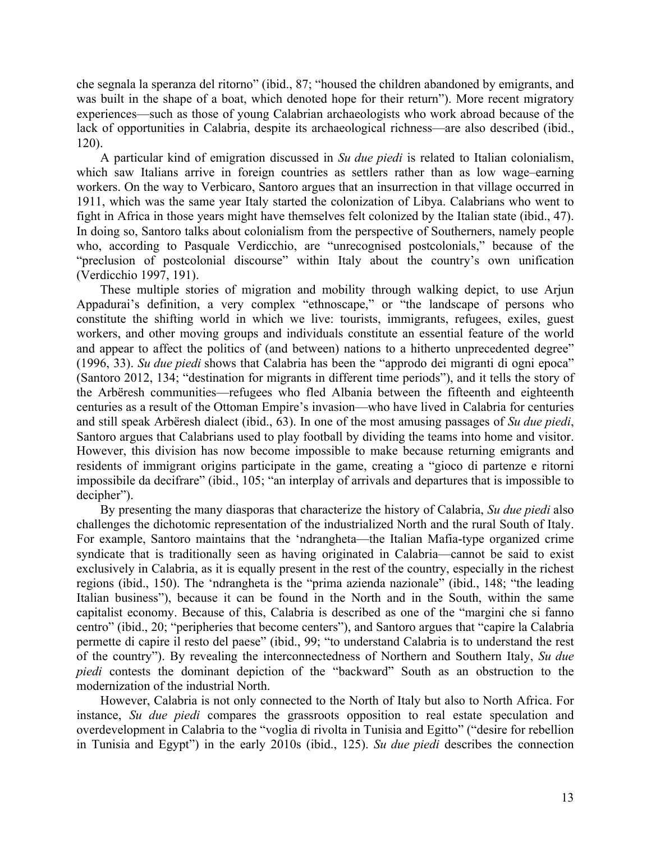che segnala la speranza del ritorno" (ibid., 87; "housed the children abandoned by emigrants, and was built in the shape of a boat, which denoted hope for their return"). More recent migratory experiences—such as those of young Calabrian archaeologists who work abroad because of the lack of opportunities in Calabria, despite its archaeological richness—are also described (ibid., 120).

A particular kind of emigration discussed in *Su due piedi* is related to Italian colonialism, which saw Italians arrive in foreign countries as settlers rather than as low wage–earning workers. On the way to Verbicaro, Santoro argues that an insurrection in that village occurred in 1911, which was the same year Italy started the colonization of Libya. Calabrians who went to fight in Africa in those years might have themselves felt colonized by the Italian state (ibid., 47). In doing so, Santoro talks about colonialism from the perspective of Southerners, namely people who, according to Pasquale Verdicchio, are "unrecognised postcolonials," because of the "preclusion of postcolonial discourse" within Italy about the country's own unification (Verdicchio 1997, 191).

These multiple stories of migration and mobility through walking depict, to use Arjun Appadurai's definition, a very complex "ethnoscape," or "the landscape of persons who constitute the shifting world in which we live: tourists, immigrants, refugees, exiles, guest workers, and other moving groups and individuals constitute an essential feature of the world and appear to affect the politics of (and between) nations to a hitherto unprecedented degree" (1996, 33). *Su due piedi* shows that Calabria has been the "approdo dei migranti di ogni epoca" (Santoro 2012, 134; "destination for migrants in different time periods"), and it tells the story of the Arbëresh communities—refugees who fled Albania between the fifteenth and eighteenth centuries as a result of the Ottoman Empire's invasion—who have lived in Calabria for centuries and still speak Arbëresh dialect (ibid., 63). In one of the most amusing passages of *Su due piedi*, Santoro argues that Calabrians used to play football by dividing the teams into home and visitor. However, this division has now become impossible to make because returning emigrants and residents of immigrant origins participate in the game, creating a "gioco di partenze e ritorni impossibile da decifrare" (ibid., 105; "an interplay of arrivals and departures that is impossible to decipher").

By presenting the many diasporas that characterize the history of Calabria, *Su due piedi* also challenges the dichotomic representation of the industrialized North and the rural South of Italy. For example, Santoro maintains that the 'ndrangheta—the Italian Mafia-type organized crime syndicate that is traditionally seen as having originated in Calabria—cannot be said to exist exclusively in Calabria, as it is equally present in the rest of the country, especially in the richest regions (ibid., 150). The 'ndrangheta is the "prima azienda nazionale" (ibid., 148; "the leading Italian business"), because it can be found in the North and in the South, within the same capitalist economy. Because of this, Calabria is described as one of the "margini che si fanno centro" (ibid., 20; "peripheries that become centers"), and Santoro argues that "capire la Calabria permette di capire il resto del paese" (ibid., 99; "to understand Calabria is to understand the rest of the country"). By revealing the interconnectedness of Northern and Southern Italy, *Su due piedi* contests the dominant depiction of the "backward" South as an obstruction to the modernization of the industrial North.

However, Calabria is not only connected to the North of Italy but also to North Africa. For instance, *Su due piedi* compares the grassroots opposition to real estate speculation and overdevelopment in Calabria to the "voglia di rivolta in Tunisia and Egitto" ("desire for rebellion in Tunisia and Egypt") in the early 2010s (ibid., 125). *Su due piedi* describes the connection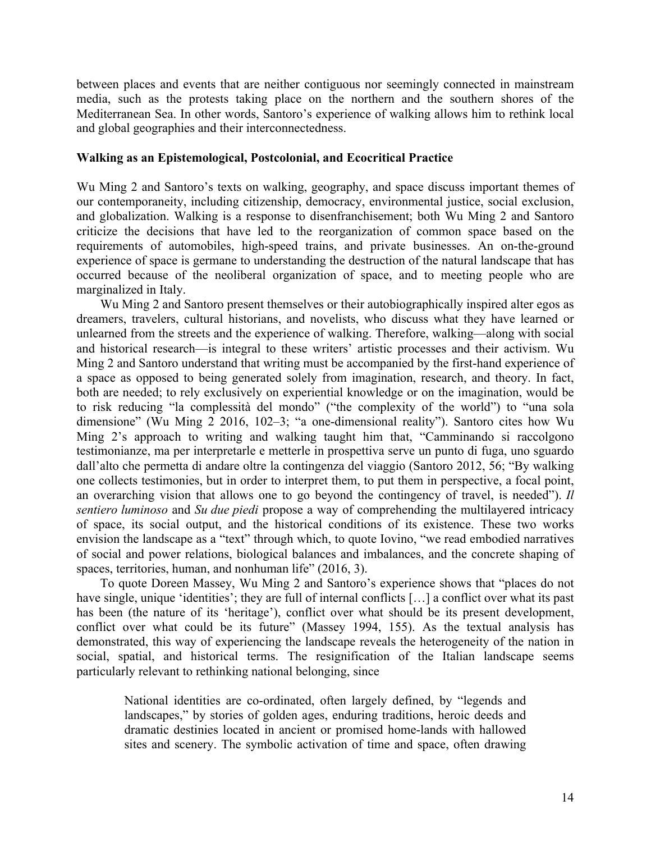between places and events that are neither contiguous nor seemingly connected in mainstream media, such as the protests taking place on the northern and the southern shores of the Mediterranean Sea. In other words, Santoro's experience of walking allows him to rethink local and global geographies and their interconnectedness.

#### **Walking as an Epistemological, Postcolonial, and Ecocritical Practice**

Wu Ming 2 and Santoro's texts on walking, geography, and space discuss important themes of our contemporaneity, including citizenship, democracy, environmental justice, social exclusion, and globalization. Walking is a response to disenfranchisement; both Wu Ming 2 and Santoro criticize the decisions that have led to the reorganization of common space based on the requirements of automobiles, high-speed trains, and private businesses. An on-the-ground experience of space is germane to understanding the destruction of the natural landscape that has occurred because of the neoliberal organization of space, and to meeting people who are marginalized in Italy.

Wu Ming 2 and Santoro present themselves or their autobiographically inspired alter egos as dreamers, travelers, cultural historians, and novelists, who discuss what they have learned or unlearned from the streets and the experience of walking. Therefore, walking—along with social and historical research—is integral to these writers' artistic processes and their activism. Wu Ming 2 and Santoro understand that writing must be accompanied by the first-hand experience of a space as opposed to being generated solely from imagination, research, and theory. In fact, both are needed; to rely exclusively on experiential knowledge or on the imagination, would be to risk reducing "la complessità del mondo" ("the complexity of the world") to "una sola dimensione" (Wu Ming 2 2016, 102–3; "a one-dimensional reality"). Santoro cites how Wu Ming 2's approach to writing and walking taught him that, "Camminando si raccolgono testimonianze, ma per interpretarle e metterle in prospettiva serve un punto di fuga, uno sguardo dall'alto che permetta di andare oltre la contingenza del viaggio (Santoro 2012, 56; "By walking one collects testimonies, but in order to interpret them, to put them in perspective, a focal point, an overarching vision that allows one to go beyond the contingency of travel, is needed"). *Il sentiero luminoso* and *Su due piedi* propose a way of comprehending the multilayered intricacy of space, its social output, and the historical conditions of its existence. These two works envision the landscape as a "text" through which, to quote Iovino, "we read embodied narratives of social and power relations, biological balances and imbalances, and the concrete shaping of spaces, territories, human, and nonhuman life" (2016, 3).

To quote Doreen Massey, Wu Ming 2 and Santoro's experience shows that "places do not have single, unique 'identities'; they are full of internal conflicts [...] a conflict over what its past has been (the nature of its 'heritage'), conflict over what should be its present development, conflict over what could be its future" (Massey 1994, 155). As the textual analysis has demonstrated, this way of experiencing the landscape reveals the heterogeneity of the nation in social, spatial, and historical terms. The resignification of the Italian landscape seems particularly relevant to rethinking national belonging, since

National identities are co-ordinated, often largely defined, by "legends and landscapes," by stories of golden ages, enduring traditions, heroic deeds and dramatic destinies located in ancient or promised home-lands with hallowed sites and scenery. The symbolic activation of time and space, often drawing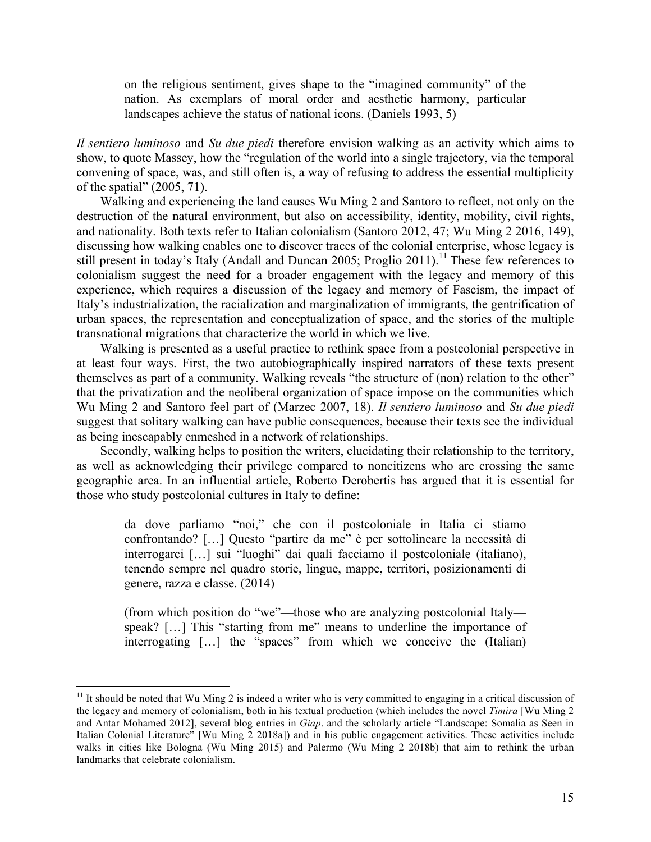on the religious sentiment, gives shape to the "imagined community" of the nation. As exemplars of moral order and aesthetic harmony, particular landscapes achieve the status of national icons. (Daniels 1993, 5)

*Il sentiero luminoso* and *Su due piedi* therefore envision walking as an activity which aims to show, to quote Massey, how the "regulation of the world into a single trajectory, via the temporal convening of space, was, and still often is, a way of refusing to address the essential multiplicity of the spatial" (2005, 71).

Walking and experiencing the land causes Wu Ming 2 and Santoro to reflect, not only on the destruction of the natural environment, but also on accessibility, identity, mobility, civil rights, and nationality. Both texts refer to Italian colonialism (Santoro 2012, 47; Wu Ming 2 2016, 149), discussing how walking enables one to discover traces of the colonial enterprise, whose legacy is still present in today's Italy (Andall and Duncan 2005; Proglio 2011).<sup>11</sup> These few references to colonialism suggest the need for a broader engagement with the legacy and memory of this experience, which requires a discussion of the legacy and memory of Fascism, the impact of Italy's industrialization, the racialization and marginalization of immigrants, the gentrification of urban spaces, the representation and conceptualization of space, and the stories of the multiple transnational migrations that characterize the world in which we live.

Walking is presented as a useful practice to rethink space from a postcolonial perspective in at least four ways. First, the two autobiographically inspired narrators of these texts present themselves as part of a community. Walking reveals "the structure of (non) relation to the other" that the privatization and the neoliberal organization of space impose on the communities which Wu Ming 2 and Santoro feel part of (Marzec 2007, 18). *Il sentiero luminoso* and *Su due piedi* suggest that solitary walking can have public consequences, because their texts see the individual as being inescapably enmeshed in a network of relationships.

Secondly, walking helps to position the writers, elucidating their relationship to the territory, as well as acknowledging their privilege compared to noncitizens who are crossing the same geographic area. In an influential article, Roberto Derobertis has argued that it is essential for those who study postcolonial cultures in Italy to define:

da dove parliamo "noi," che con il postcoloniale in Italia ci stiamo confrontando? […] Questo "partire da me" è per sottolineare la necessità di interrogarci […] sui "luoghi" dai quali facciamo il postcoloniale (italiano), tenendo sempre nel quadro storie, lingue, mappe, territori, posizionamenti di genere, razza e classe. (2014)

(from which position do "we"—those who are analyzing postcolonial Italy speak? [...] This "starting from me" means to underline the importance of interrogating […] the "spaces" from which we conceive the (Italian)

 $11$  It should be noted that Wu Ming 2 is indeed a writer who is very committed to engaging in a critical discussion of the legacy and memory of colonialism, both in his textual production (which includes the novel *Timira* [Wu Ming 2 and Antar Mohamed 2012], several blog entries in *Giap*. and the scholarly article "Landscape: Somalia as Seen in Italian Colonial Literature" [Wu Ming 2 2018a]) and in his public engagement activities. These activities include walks in cities like Bologna (Wu Ming 2015) and Palermo (Wu Ming 2 2018b) that aim to rethink the urban landmarks that celebrate colonialism.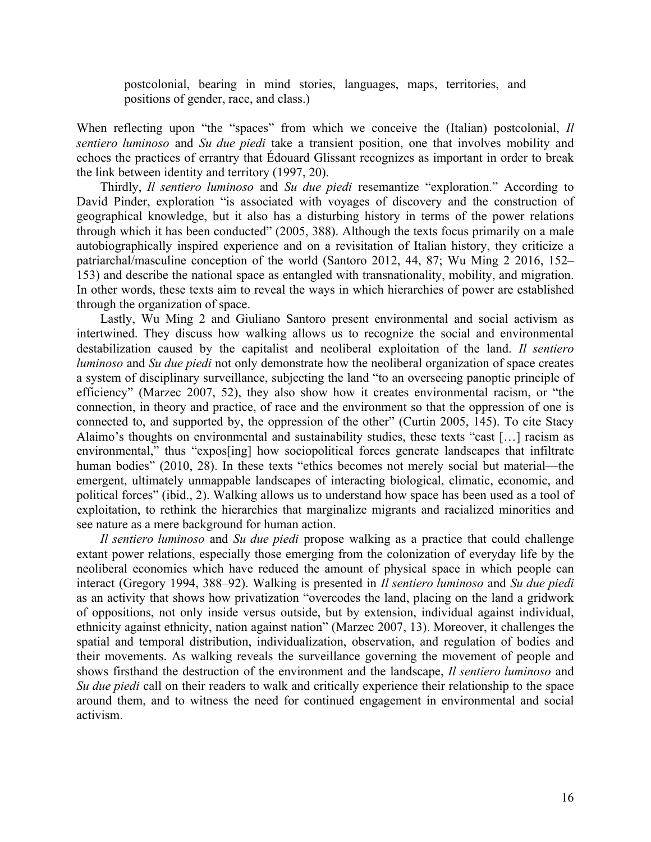postcolonial, bearing in mind stories, languages, maps, territories, and positions of gender, race, and class.)

When reflecting upon "the "spaces" from which we conceive the (Italian) postcolonial, *Il sentiero luminoso* and *Su due piedi* take a transient position, one that involves mobility and echoes the practices of errantry that Édouard Glissant recognizes as important in order to break the link between identity and territory (1997, 20).

Thirdly, *Il sentiero luminoso* and *Su due piedi* resemantize "exploration." According to David Pinder, exploration "is associated with voyages of discovery and the construction of geographical knowledge, but it also has a disturbing history in terms of the power relations through which it has been conducted" (2005, 388). Although the texts focus primarily on a male autobiographically inspired experience and on a revisitation of Italian history, they criticize a patriarchal/masculine conception of the world (Santoro 2012, 44, 87; Wu Ming 2 2016, 152– 153) and describe the national space as entangled with transnationality, mobility, and migration. In other words, these texts aim to reveal the ways in which hierarchies of power are established through the organization of space.

Lastly, Wu Ming 2 and Giuliano Santoro present environmental and social activism as intertwined. They discuss how walking allows us to recognize the social and environmental destabilization caused by the capitalist and neoliberal exploitation of the land. *Il sentiero luminoso* and *Su due piedi* not only demonstrate how the neoliberal organization of space creates a system of disciplinary surveillance, subjecting the land "to an overseeing panoptic principle of efficiency" (Marzec 2007, 52), they also show how it creates environmental racism, or "the connection, in theory and practice, of race and the environment so that the oppression of one is connected to, and supported by, the oppression of the other" (Curtin 2005, 145). To cite Stacy Alaimo's thoughts on environmental and sustainability studies, these texts "cast […] racism as environmental," thus "exposeling how sociopolitical forces generate landscapes that infiltrate human bodies" (2010, 28). In these texts "ethics becomes not merely social but material—the emergent, ultimately unmappable landscapes of interacting biological, climatic, economic, and political forces" (ibid., 2). Walking allows us to understand how space has been used as a tool of exploitation, to rethink the hierarchies that marginalize migrants and racialized minorities and see nature as a mere background for human action.

*Il sentiero luminoso* and *Su due piedi* propose walking as a practice that could challenge extant power relations, especially those emerging from the colonization of everyday life by the neoliberal economies which have reduced the amount of physical space in which people can interact (Gregory 1994, 388–92). Walking is presented in *Il sentiero luminoso* and *Su due piedi* as an activity that shows how privatization "overcodes the land, placing on the land a gridwork of oppositions, not only inside versus outside, but by extension, individual against individual, ethnicity against ethnicity, nation against nation" (Marzec 2007, 13). Moreover, it challenges the spatial and temporal distribution, individualization, observation, and regulation of bodies and their movements. As walking reveals the surveillance governing the movement of people and shows firsthand the destruction of the environment and the landscape, *Il sentiero luminoso* and *Su due piedi* call on their readers to walk and critically experience their relationship to the space around them, and to witness the need for continued engagement in environmental and social activism.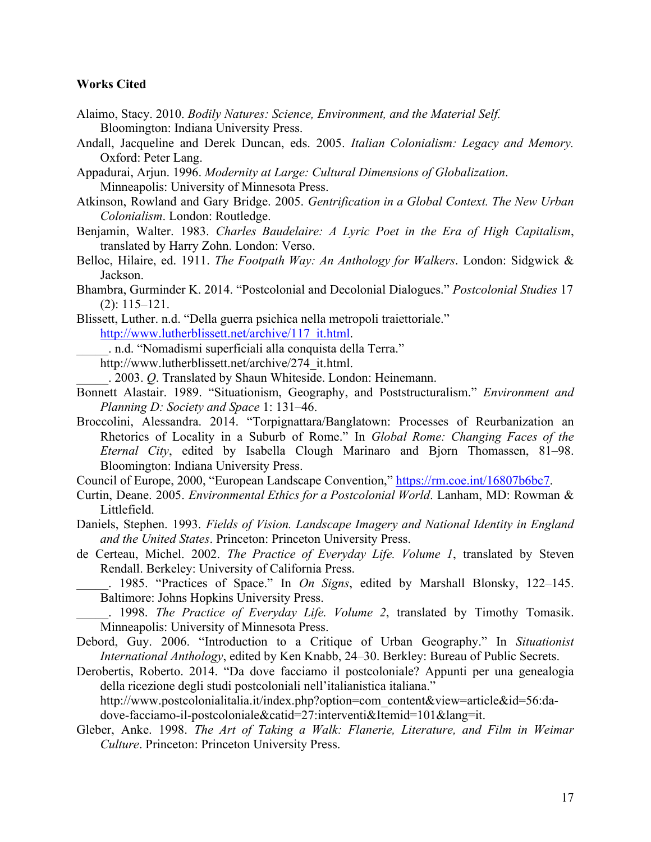#### **Works Cited**

- Alaimo, Stacy. 2010. *Bodily Natures: Science, Environment, and the Material Self.*  Bloomington: Indiana University Press.
- Andall, Jacqueline and Derek Duncan, eds. 2005. *Italian Colonialism: Legacy and Memory.* Oxford: Peter Lang.
- Appadurai, Arjun. 1996. *Modernity at Large: Cultural Dimensions of Globalization*. Minneapolis: University of Minnesota Press.
- Atkinson, Rowland and Gary Bridge. 2005. *Gentrification in a Global Context. The New Urban Colonialism*. London: Routledge.
- Benjamin, Walter. 1983. *Charles Baudelaire: A Lyric Poet in the Era of High Capitalism*, translated by Harry Zohn. London: Verso.
- Belloc, Hilaire, ed. 1911. *The Footpath Way: An Anthology for Walkers*. London: Sidgwick & Jackson.
- Bhambra, Gurminder K. 2014. "Postcolonial and Decolonial Dialogues." *Postcolonial Studies* 17 (2): 115–121.
- Blissett, Luther. n.d. "Della guerra psichica nella metropoli traiettoriale." http://www.lutherblissett.net/archive/117\_it.html.
- \_\_\_\_\_. n.d. "Nomadismi superficiali alla conquista della Terra."
	- http://www.lutherblissett.net/archive/274\_it.html.
	- \_\_\_\_\_. 2003. *Q*. Translated by Shaun Whiteside. London: Heinemann.
- Bonnett Alastair. 1989. "Situationism, Geography, and Poststructuralism." *Environment and Planning D: Society and Space* 1: 131–46.
- Broccolini, Alessandra. 2014. "Torpignattara/Banglatown: Processes of Reurbanization an Rhetorics of Locality in a Suburb of Rome." In *Global Rome: Changing Faces of the Eternal City*, edited by Isabella Clough Marinaro and Bjorn Thomassen, 81–98. Bloomington: Indiana University Press.
- Council of Europe, 2000, "European Landscape Convention," https://rm.coe.int/16807b6bc7.
- Curtin, Deane. 2005. *Environmental Ethics for a Postcolonial World*. Lanham, MD: Rowman & Littlefield.
- Daniels, Stephen. 1993. *Fields of Vision. Landscape Imagery and National Identity in England and the United States*. Princeton: Princeton University Press.
- de Certeau, Michel. 2002. *The Practice of Everyday Life. Volume 1*, translated by Steven Rendall. Berkeley: University of California Press.

1985. "Practices of Space." In *On Signs*, edited by Marshall Blonsky, 122–145. Baltimore: Johns Hopkins University Press.

\_\_\_\_\_. 1998. *The Practice of Everyday Life. Volume 2*, translated by Timothy Tomasik. Minneapolis: University of Minnesota Press.

- Debord, Guy. 2006. "Introduction to a Critique of Urban Geography." In *Situationist International Anthology*, edited by Ken Knabb, 24–30. Berkley: Bureau of Public Secrets.
- Derobertis, Roberto. 2014. "Da dove facciamo il postcoloniale? Appunti per una genealogia della ricezione degli studi postcoloniali nell'italianistica italiana." http://www.postcolonialitalia.it/index.php?option=com\_content&view=article&id=56:dadove-facciamo-il-postcoloniale&catid=27:interventi&Itemid=101&lang=it.
- Gleber, Anke. 1998. *The Art of Taking a Walk: Flanerie, Literature, and Film in Weimar Culture*. Princeton: Princeton University Press.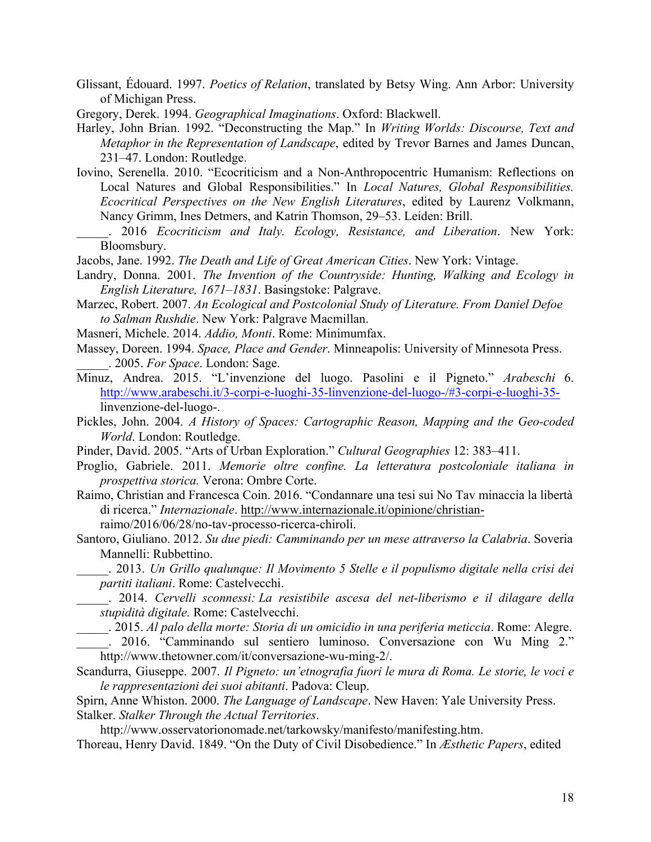Glissant, Édouard. 1997. *Poetics of Relation*, translated by Betsy Wing. Ann Arbor: University of Michigan Press.

Gregory, Derek. 1994. *Geographical Imaginations*. Oxford: Blackwell.

- Harley, John Brian. 1992. "Deconstructing the Map." In *Writing Worlds: Discourse, Text and Metaphor in the Representation of Landscape*, edited by Trevor Barnes and James Duncan, 231–47. London: Routledge.
- Iovino, Serenella. 2010. "Ecocriticism and a Non-Anthropocentric Humanism: Reflections on Local Natures and Global Responsibilities." In *Local Natures, Global Responsibilities. Ecocritical Perspectives on the New English Literatures*, edited by Laurenz Volkmann, Nancy Grimm, Ines Detmers, and Katrin Thomson, 29–53. Leiden: Brill.
- \_\_\_\_\_. 2016 *Ecocriticism and Italy. Ecology, Resistance, and Liberation*. New York: Bloomsbury.
- Jacobs, Jane. 1992. *The Death and Life of Great American Cities*. New York: Vintage.
- Landry, Donna. 2001. *The Invention of the Countryside: Hunting, Walking and Ecology in English Literature, 1671–1831*. Basingstoke: Palgrave.
- Marzec, Robert. 2007. *An Ecological and Postcolonial Study of Literature. From Daniel Defoe to Salman Rushdie*. New York: Palgrave Macmillan.
- Masneri, Michele. 2014. *Addio, Monti*. Rome: Minimumfax.
- Massey, Doreen. 1994. *Space, Place and Gender*. Minneapolis: University of Minnesota Press. \_\_\_\_\_. 2005. *For Space*. London: Sage.
- Minuz, Andrea. 2015. "L'invenzione del luogo. Pasolini e il Pigneto." *Arabeschi* 6. http://www.arabeschi.it/3-corpi-e-luoghi-35-linvenzione-del-luogo-/#3-corpi-e-luoghi-35 linvenzione-del-luogo-.
- Pickles, John. 2004. *A History of Spaces: Cartographic Reason, Mapping and the Geo-coded World*. London: Routledge.
- Pinder, David. 2005. "Arts of Urban Exploration." *Cultural Geographies* 12: 383–411.
- Proglio, Gabriele. 2011. *Memorie oltre confine. La letteratura postcoloniale italiana in prospettiva storica.* Verona: Ombre Corte.
- Raimo, Christian and Francesca Coin. 2016. "Condannare una tesi sui No Tav minaccia la libertà di ricerca." *Internazionale*. http://www.internazionale.it/opinione/christianraimo/2016/06/28/no-tav-processo-ricerca-chiroli.
- Santoro, Giuliano. 2012. *Su due piedi: Camminando per un mese attraverso la Calabria*. Soveria Mannelli: Rubbettino.
	- \_\_\_\_\_. 2013. *Un Grillo qualunque: Il Movimento 5 Stelle e il populismo digitale nella crisi dei partiti italiani*. Rome: Castelvecchi.
- \_\_\_\_\_. 2014. *Cervelli sconnessi: La resistibile ascesa del net-liberismo e il dilagare della stupidità digitale.* Rome: Castelvecchi.
	- \_\_\_\_\_. 2015. *Al palo della morte: Storia di un omicidio in una periferia meticcia*. Rome: Alegre.
- \_\_\_\_\_. 2016. "Camminando sul sentiero luminoso. Conversazione con Wu Ming 2." http://www.thetowner.com/it/conversazione-wu-ming-2/.
- Scandurra, Giuseppe. 2007. *Il Pigneto: un'etnografia fuori le mura di Roma. Le storie, le voci e le rappresentazioni dei suoi abitanti*. Padova: Cleup.
- Spirn, Anne Whiston. 2000. *The Language of Landscape*. New Haven: Yale University Press. Stalker. *Stalker Through the Actual Territories*.

http://www.osservatorionomade.net/tarkowsky/manifesto/manifesting.htm.

Thoreau, Henry David. 1849. "On the Duty of Civil Disobedience." In *Æsthetic Papers*, edited